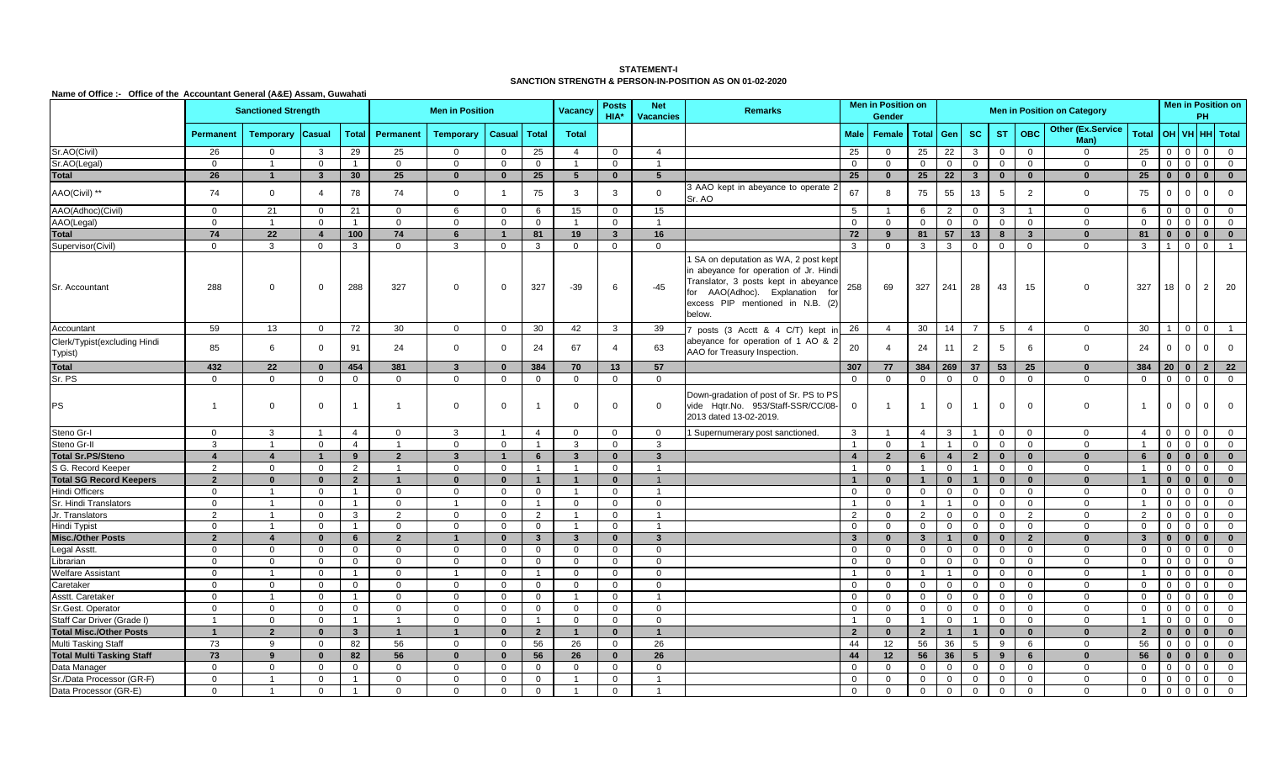## **STATEMENT-I SANCTION STRENGTH & PERSON-IN-POSITION AS ON 01-02-2020**

**Name of Office :- Office of the Accountant General (A&E) Assam, Guwahati**

|                                         | <b>Sanctioned Strength</b> |                  |                         |                |                |                  | <b>Posts</b><br><b>Net</b><br>Vacancy<br>HIA*<br><b>Vacancies</b> |                |                | <b>Remarks</b> | <b>Men in Position on</b><br>Gender |                                                                                                                                                                                                           |                | <b>Men in Position on Category</b> |                         |                |                         |                |                         |                                  |                         | PH             | <b>Men in Position on</b> |                |                |
|-----------------------------------------|----------------------------|------------------|-------------------------|----------------|----------------|------------------|-------------------------------------------------------------------|----------------|----------------|----------------|-------------------------------------|-----------------------------------------------------------------------------------------------------------------------------------------------------------------------------------------------------------|----------------|------------------------------------|-------------------------|----------------|-------------------------|----------------|-------------------------|----------------------------------|-------------------------|----------------|---------------------------|----------------|----------------|
|                                         | Permanent                  | <b>Temporary</b> | <b>Casual</b>           | <b>Total</b>   | Permanent      | <b>Temporary</b> | <b>Casual</b>                                                     | <b>Total</b>   | <b>Total</b>   |                |                                     |                                                                                                                                                                                                           | Male           | Female                             | Total                   | Gen            | <b>SC</b>               | <b>ST</b>      | <b>OBC</b>              | <b>Other (Ex.Service</b><br>Man) | <b>Total</b>            | <b>OH</b>      | <b>VH</b>                 |                | HH Total       |
| Sr.AO(Civil)                            | 26                         | $\mathbf 0$      | 3                       | 29             | 25             | $\Omega$         | $\overline{0}$                                                    | 25             | $\overline{4}$ | $\mathbf 0$    | $\overline{4}$                      |                                                                                                                                                                                                           | 25             | $\overline{0}$                     | 25                      | 22             | 3                       | $\overline{0}$ | $\overline{0}$          | $\mathbf 0$                      | 25                      | $\mathbf 0$    | $\Omega$                  | $\mathbf 0$    | $\mathbf 0$    |
| Sr.AO(Legal)                            | $\Omega$                   |                  | $\mathbf{0}$            | $\mathbf{1}$   | $\Omega$       | $\Omega$         | $\Omega$                                                          | $\mathbf 0$    | 1              | $\mathbf 0$    | $\overline{1}$                      |                                                                                                                                                                                                           | $\mathbf 0$    | $\mathbf 0$                        | $\mathbf{0}$            | $\mathbf{0}$   | $\mathbf 0$             | $\overline{0}$ | $\Omega$                | $\mathbf{0}$                     | $\overline{0}$          | $\overline{0}$ | $\mathbf{0}$              | $\overline{0}$ | $\mathbf 0$    |
| <b>Total</b>                            | 26                         |                  | $\overline{\mathbf{3}}$ | 30             | 25             | $\mathbf{0}$     | $\bf{0}$                                                          | 25             | 5              | $\mathbf{0}$   | $5\overline{5}$                     |                                                                                                                                                                                                           | 25             | $\mathbf{0}$                       | 25                      | 22             | $\overline{\mathbf{3}}$ | $\mathbf 0$    | $\mathbf{0}$            | $\bf{0}$                         | 25                      | $\mathbf{0}$   | $\mathbf{0}$              | $\bf{0}$       | $\mathbf{0}$   |
| AAO(Civil) **                           | 74                         | $\mathbf 0$      | $\overline{4}$          | 78             | 74             | $\mathbf 0$      | $\overline{\phantom{0}}$                                          | 75             | 3              | 3              | $\overline{0}$                      | 3 AAO kept in abeyance to operate<br>Sr. AO                                                                                                                                                               | 67             | 8                                  | 75                      | 55             | 13                      | 5              | 2                       | $\overline{0}$                   | 75                      | $\mathbf 0$    |                           | $\mathbf{0}$   | $\overline{0}$ |
| AAO(Adhoc)(Civil)                       | $\mathbf 0$                | 21               | $\Omega$                | 21             | $\mathbf 0$    | 6                | $\overline{\mathbf{0}}$                                           | 6              | 15             | $\overline{0}$ | 15                                  |                                                                                                                                                                                                           | 5              | -1                                 | 6                       | $\overline{2}$ | $\mathbf 0$             | -3             |                         | $\overline{0}$                   | 6                       | $\overline{0}$ |                           | $\mathbf 0$    | $\overline{0}$ |
| AAO(Legal)                              | $\overline{0}$             | $\overline{1}$   | $\mathbf 0$             | $\overline{1}$ | $\mathbf{0}$   | $\mathbf 0$      | $\overline{0}$                                                    | $\mathbf 0$    | $\mathbf{1}$   | $\mathbf 0$    | $\overline{1}$                      |                                                                                                                                                                                                           | $\mathbf 0$    | $\mathbf 0$                        | $\mathbf 0$             | $\mathbf 0$    | $\mathbf 0$             | $\Omega$       | $\mathbf 0$             | $\overline{0}$                   | $\overline{0}$          | $\mathbf 0$    |                           | $\mathbf 0$    | $\mathbf{0}$   |
| <b>Total</b>                            | 74                         | 22               | $\overline{4}$          | 100            | 74             | 6                | $\overline{1}$                                                    | 81             | 19             | $3^{\circ}$    | 16                                  |                                                                                                                                                                                                           | 72             | 9                                  | 81                      | 57             | 13                      | 8              | $\overline{\mathbf{3}}$ | $\bf{0}$                         | 81                      | $\mathbf{0}$   | $\bf{0}$                  | $\bf{0}$       | $\bf{0}$       |
| Supervisor(Civil)                       | $\overline{0}$             | $\mathbf{3}$     | $\overline{0}$          | $\mathbf{3}$   | $\mathbf 0$    | 3                | $\overline{0}$                                                    | 3              | $\overline{0}$ | $\overline{0}$ | $\overline{0}$                      |                                                                                                                                                                                                           | $\mathbf{3}$   | $\mathbf 0$                        | $\mathbf{3}$            | $\mathbf{3}$   | $\overline{0}$          | $\overline{0}$ | $\overline{0}$          | $\mathbf 0$                      | $\mathbf{3}$            | $\overline{1}$ | $\Omega$                  | $\overline{0}$ | $\overline{1}$ |
| Sr. Accountant                          | 288                        | $\Omega$         | $\overline{0}$          | 288            | 327            | $\Omega$         | $\mathbf 0$                                                       | 327            | $-39$          | 6              | $-45$                               | SA on deputation as WA, 2 post kept<br>in abeyance for operation of Jr. Hindi<br>Translator, 3 posts kept in abeyance<br>for AAO(Adhoc). Explanation<br>fol<br>excess PIP mentioned in N.B. (2)<br>below. | 258            | 69                                 | 327                     | 241            | 28                      | 43             | 15                      | $\Omega$                         | 327                     | 18             | $\Omega$                  | $2^{\circ}$    | 20             |
| Accountant                              | 59                         | 13               | $\overline{0}$          | 72             | 30             | $\Omega$         | $\overline{0}$                                                    | 30             | 42             | $\overline{3}$ | 39                                  | posts (3 Acctt & 4 C/T) kept                                                                                                                                                                              | 26             | $\overline{4}$                     | 30                      | 14             | $\overline{7}$          | 5              | $\overline{4}$          | $\mathbf 0$                      | 30                      | $\overline{1}$ | $0 \mid 0$                |                | $\overline{1}$ |
| Clerk/Typist(excluding Hindi<br>Typist) | 85                         | 6                | $\mathbf{0}$            | 91             | 24             | $\mathbf 0$      | $\overline{0}$                                                    | 24             | 67             | $\overline{4}$ | 63                                  | abeyance for operation of 1 AO &<br>AAO for Treasury Inspection.                                                                                                                                          | 20             | $\overline{4}$                     | 24                      | 11             | 2                       | 5              | 6                       | $\overline{0}$                   | 24                      | $\overline{0}$ |                           | $\Omega$       | $\mathbf{0}$   |
| <b>Total</b>                            | 432                        | 22               | $\bf{0}$                | 454            | 381            | 3                | $\bf{0}$                                                          | 384            | 70             | 13             | 57                                  |                                                                                                                                                                                                           | 307            | 77                                 | 384                     | 269            | 37                      | 53             | 25                      | $\bf{0}$                         | 384                     | 20             | $\mathbf{0}$              | $\overline{2}$ | 22             |
| Sr. PS                                  | $\Omega$                   | $\Omega$         | $\mathbf 0$             | $\overline{0}$ | $\Omega$       | $\Omega$         | $\overline{0}$                                                    | $\mathbf 0$    | $\mathbf 0$    | $\overline{0}$ | $\overline{0}$                      |                                                                                                                                                                                                           | $\overline{0}$ | $\Omega$                           | $\overline{0}$          | $\overline{0}$ | $\mathbf{0}$            | $\overline{0}$ | $\Omega$                | $\Omega$                         | $\overline{0}$          | $\mathbf 0$    | $\Omega$                  | $\overline{0}$ | $\overline{0}$ |
| PS                                      | $\overline{1}$             | $\Omega$         | $\Omega$                | $\overline{1}$ |                | $\Omega$         | $\mathbf 0$                                                       |                | $\Omega$       | $\Omega$       | $\overline{0}$                      | Down-gradation of post of Sr. PS to PS<br>vide Hqtr.No. 953/Staff-SSR/CC/08-<br>2013 dated 13-02-2019.                                                                                                    | $\overline{0}$ | $\overline{1}$                     |                         | $\overline{0}$ |                         | $\Omega$       | $\Omega$                | $\Omega$                         | -1                      | $\overline{0}$ |                           | $\mathbf 0$    | $\mathbf{0}$   |
| Steno Gr-I                              | $\mathbf 0$                | 3                | $\overline{1}$          | $\overline{4}$ | $\overline{0}$ | 3                | $\overline{1}$                                                    | $\overline{4}$ | $\overline{0}$ | $\mathbf 0$    | $\overline{0}$                      | 1 Supernumerary post sanctioned.                                                                                                                                                                          | $\mathbf{3}$   | $\overline{1}$                     | $\overline{4}$          | $\mathbf{3}$   | $\overline{1}$          | $\overline{0}$ | $\overline{0}$          | $\overline{0}$                   | $\overline{4}$          | $\mathbf 0$    | $\overline{0}$            | $\mathbf 0$    | $\overline{0}$ |
| Steno Gr-II                             | 3                          | $\overline{1}$   | $\overline{0}$          | $\overline{4}$ | $\overline{1}$ | $\mathbf 0$      | $\overline{0}$                                                    | $\overline{1}$ | 3              | $\overline{0}$ | $\mathbf{3}$                        |                                                                                                                                                                                                           | $\overline{1}$ | $\overline{0}$                     | $\overline{1}$          | $\overline{1}$ | $\overline{0}$          | $\overline{0}$ | $\mathbf 0$             | $\mathbf 0$                      | $\overline{1}$          | $\mathbf 0$    | $\Omega$                  | $\mathbf 0$    | $\mathbf 0$    |
| <b>Total Sr.PS/Steno</b>                | $\overline{4}$             | $\overline{4}$   | $\mathbf{1}$            | 9              | $\overline{2}$ | 3                | $\overline{1}$                                                    | 6              | 3 <sup>1</sup> | $\mathbf{0}$   | 3 <sup>1</sup>                      |                                                                                                                                                                                                           | $\overline{4}$ | $\overline{2}$                     | 6                       | $\overline{4}$ | $\overline{2}$          | $\mathbf{0}$   | $\mathbf{0}$            | $\mathbf{0}$                     | 6                       | $\mathbf{0}$   | $\mathbf{0}$              | $\bf{0}$       | $\mathbf{0}$   |
| S G. Record Keeper                      | 2                          | $\overline{0}$   | $\mathbf{0}$            | 2              | $\mathbf{1}$   | $\Omega$         | $\overline{0}$                                                    | $\overline{1}$ | $\overline{1}$ | $\overline{0}$ | $\overline{1}$                      |                                                                                                                                                                                                           | $\overline{1}$ | $\mathbf 0$                        | $\overline{1}$          | $\overline{0}$ | $\mathbf{1}$            | $\mathbf 0$    | $\overline{0}$          | $\mathbf{0}$                     | $\overline{1}$          | $\Omega$       | $\Omega$                  | $\mathbf 0$    | $\mathbf 0$    |
| <b>Total SG Record Keepers</b>          | $\overline{2}$             | $\mathbf{0}$     | $\mathbf{0}$            | $\overline{2}$ | $\mathbf{1}$   | $\bf{0}$         | $\mathbf{0}$                                                      | $\mathbf 1$    | $\mathbf{1}$   | $\mathbf{0}$   | $\mathbf{1}$                        |                                                                                                                                                                                                           | $\overline{1}$ | $\mathbf{0}$                       | $\mathbf{1}$            | $\mathbf{0}$   | $\mathbf 1$             | $\mathbf{0}$   | $\mathbf{0}$            | $\mathbf{0}$                     | $\overline{\mathbf{1}}$ | $\mathbf{0}$   | $\mathbf{0}$              | $\mathbf{0}$   | $\mathbf{0}$   |
| <b>Hindi Officers</b>                   | $\overline{0}$             | -1               | $\overline{0}$          | $\overline{1}$ | $\Omega$       | $\mathbf 0$      | $\overline{0}$                                                    | $\overline{0}$ | $\mathbf{1}$   | $\overline{0}$ | $\overline{1}$                      |                                                                                                                                                                                                           | $\overline{0}$ | $\mathbf{0}$                       | $\overline{0}$          | $\overline{0}$ | $\mathbf{0}$            | $\overline{0}$ | $\overline{0}$          | $\overline{0}$                   | $\overline{0}$          | $\mathbf 0$    | $\Omega$                  | $\overline{0}$ | $\overline{0}$ |
| Sr. Hindi Translators                   | $\mathbf 0$                | $\overline{1}$   | $\overline{0}$          | $\mathbf{1}$   | $\mathbf{0}$   | $\overline{1}$   | $\overline{0}$                                                    |                | $\overline{0}$ | $\overline{0}$ | $\overline{0}$                      |                                                                                                                                                                                                           | $\overline{1}$ | $\mathbf{0}$                       |                         | $\overline{1}$ | $\mathbf{0}$            | $\Omega$       | $\Omega$                | $\overline{0}$                   | $\overline{1}$          | $\Omega$       |                           | $\mathbf 0$    | $\overline{0}$ |
| Jr. Translators                         | $\overline{2}$             |                  | $\mathbf 0$             | 3              | $\overline{2}$ | $\Omega$         | $\overline{0}$                                                    | 2              |                | $\mathbf 0$    | 1                                   |                                                                                                                                                                                                           | 2              | $\mathbf{0}$                       | 2                       | $\overline{0}$ | $\mathbf{0}$            | $\Omega$       | $\overline{2}$          | $\overline{0}$                   | 2                       | $\Omega$       |                           | $\mathbf 0$    | $\mathbf{0}$   |
| Hindi Typist                            | $\overline{0}$             |                  | $\Omega$                | $\mathbf{1}$   | $\Omega$       | $\Omega$         | $\overline{0}$                                                    | $\mathbf 0$    | $\overline{1}$ | $\overline{0}$ | $\overline{1}$                      |                                                                                                                                                                                                           | $\overline{0}$ | $\Omega$                           | $\Omega$                | $\Omega$       | $\Omega$                | $\Omega$       | $\Omega$                | $\Omega$                         | $\Omega$                | $\Omega$       |                           | $\Omega$       | $\Omega$       |
| <b>Misc./Other Posts</b>                | $\overline{2}$             | $\boldsymbol{4}$ | $\mathbf{0}$            | 6              | $\overline{2}$ | $\mathbf{1}$     | $\mathbf{0}$                                                      | $\mathbf{3}$   | $\overline{3}$ | $\mathbf{0}$   | $\mathbf{3}$                        |                                                                                                                                                                                                           | $\mathbf{3}$   | $\bf{0}$                           | $\overline{\mathbf{3}}$ | $\overline{1}$ | $\bf{0}$                | $\Omega$       | $\overline{2}$          | $\bf{0}$                         | $\overline{\mathbf{3}}$ | $\mathbf{0}$   | $\mathbf{0}$              | $\mathbf{0}$   | $\mathbf{0}$   |
| Legal Asstt.                            | $\mathbf 0$                | $\mathbf 0$      | $\mathbf 0$             | $\overline{0}$ | $\mathbf 0$    | $\Omega$         | $\overline{0}$                                                    | $\mathbf 0$    | $\mathbf{0}$   | $\overline{0}$ | $\overline{0}$                      |                                                                                                                                                                                                           | $\overline{0}$ | $\mathbf 0$                        | $\overline{0}$          | $\mathbf 0$    | $\mathbf{0}$            | $\overline{0}$ | $\Omega$                | $\overline{0}$                   | $\overline{0}$          | $\Omega$       |                           | $\overline{0}$ | $\overline{0}$ |
| Librarian                               | $\Omega$                   | $\Omega$         | $\overline{0}$          | $\overline{0}$ | $\Omega$       | $\Omega$         | $\overline{0}$                                                    | $\overline{0}$ | $\overline{0}$ | $\overline{0}$ | $\overline{0}$                      |                                                                                                                                                                                                           | $\overline{0}$ | $\Omega$                           | $\overline{0}$          | $\mathbf 0$    | $\mathbf 0$             | $\Omega$       | $\overline{0}$          | $\overline{0}$                   | $\Omega$                | $\Omega$       | $\Omega$                  | $\overline{0}$ | $\overline{0}$ |
| <b>Welfare Assistant</b>                | $\overline{0}$             | $\overline{1}$   | $\overline{0}$          | $\overline{1}$ | $\mathbf 0$    | $\overline{1}$   | $\overline{0}$                                                    | $\overline{1}$ | $\mathbf{0}$   | $\overline{0}$ | $\mathbf 0$                         |                                                                                                                                                                                                           | $\overline{1}$ | $\mathbf 0$                        | $\overline{1}$          | $\overline{1}$ | $\mathbf 0$             | $\overline{0}$ | $\mathbf 0$             | $\overline{0}$                   | $\overline{1}$          | $\overline{0}$ |                           | $\overline{0}$ | $\overline{0}$ |
| Caretaker                               | $\mathbf 0$                | $\mathbf 0$      | $\mathbf 0$             | $\mathbf 0$    | $\mathbf 0$    | $\mathbf 0$      | $\overline{0}$                                                    | $\mathbf 0$    | $\mathbf 0$    | $\mathbf 0$    | $\overline{0}$                      |                                                                                                                                                                                                           | $\overline{0}$ | $\mathbf 0$                        | $\mathbf 0$             | $\overline{0}$ | $\mathbf 0$             | $\overline{0}$ | $\overline{0}$          | $\overline{0}$                   | $\overline{0}$          | $\mathbf 0$    |                           | $\mathbf 0$    | $\overline{0}$ |
| Asstt. Caretaker                        | $\overline{0}$             | $\overline{1}$   | $\mathbf 0$             | $\overline{1}$ | $\mathbf 0$    | $\Omega$         | $\overline{0}$                                                    | $\overline{0}$ | $\mathbf{1}$   | $\overline{0}$ | $\overline{1}$                      |                                                                                                                                                                                                           | $\overline{0}$ | $\mathbf 0$                        | $\overline{0}$          | $\overline{0}$ | $\mathbf{0}$            | $\overline{0}$ | $\overline{0}$          | $\mathbf 0$                      | $\overline{0}$          | $\overline{0}$ |                           | $\overline{0}$ | $\mathbf 0$    |
| Sr.Gest. Operator                       | $\overline{0}$             | $\overline{0}$   | $\mathbf 0$             | $\overline{0}$ | $\mathbf{0}$   | $\mathbf 0$      | $\overline{0}$                                                    | $\mathbf 0$    | $\overline{0}$ | $\mathbf 0$    | $\overline{0}$                      |                                                                                                                                                                                                           | $\mathbf 0$    | $\mathbf 0$                        | $\mathbf 0$             | $\overline{0}$ | $\mathbf{0}$            | $\overline{0}$ | $\overline{0}$          | $\overline{0}$                   | $\overline{0}$          | $\Omega$       |                           | $\mathbf 0$    | $\mathbf{0}$   |
| Staff Car Driver (Grade I)              | $\overline{1}$             | $\overline{0}$   | $\mathbf 0$             | $\overline{1}$ | $\overline{1}$ | $\mathbf 0$      | $\overline{0}$                                                    | $\overline{1}$ | $\overline{0}$ | $\overline{0}$ | $\overline{0}$                      |                                                                                                                                                                                                           | $\overline{1}$ | $\mathbf 0$                        | $\mathbf{1}$            | $\overline{0}$ | $\overline{1}$          | $\overline{0}$ | $\overline{0}$          | $\overline{0}$                   | $\overline{1}$          | $\overline{0}$ |                           | $\mathbf 0$    | $\mathbf{0}$   |
| <b>Total Misc./Other Posts</b>          | $\mathbf{1}$               | $\overline{2}$   | $\mathbf{0}$            | 3              | $\mathbf{1}$   | $\overline{1}$   | $\mathbf{0}$                                                      | $\overline{2}$ | $\mathbf{1}$   | $\mathbf{0}$   | $\mathbf{1}$                        |                                                                                                                                                                                                           | $\overline{2}$ | $\mathbf{0}$                       | $\overline{2}$          | $\overline{1}$ | $\overline{\mathbf{1}}$ | $\mathbf 0$    | $\mathbf{0}$            | $\mathbf{0}$                     | $\overline{2}$          | $\mathbf{0}$   | $\mathbf{0}$              | $\mathbf{0}$   | $\mathbf{0}$   |
| Multi Tasking Staff                     | 73                         | 9                | $\mathbf 0$             | 82             | 56             | $\mathbf 0$      | $\overline{0}$                                                    | 56             | 26             | $\overline{0}$ | 26                                  |                                                                                                                                                                                                           | 44             | 12                                 | 56                      | 36             | 5                       | 9              | 6                       | $\overline{0}$                   | 56                      | $\mathbf 0$    | $\Omega$                  | $\mathbf 0$    | $\overline{0}$ |
| <b>Total Multi Tasking Staff</b>        | 73                         | 9                | $\bf{0}$                | 82             | 56             | $\bf{0}$         | $\bf{0}$                                                          | 56             | 26             | $\bf{0}$       | 26                                  |                                                                                                                                                                                                           | 44             | 12                                 | 56                      | 36             | $5\overline{5}$         | 9              | 6                       | $\bf{0}$                         | 56                      | $\bf{0}$       | $\bf{0}$                  | $\bf{0}$       | $\bf{0}$       |
| Data Manager                            | $\Omega$                   | $\Omega$         | $\mathbf{0}$            | $\mathbf 0$    | $\Omega$       | $\Omega$         | $\Omega$                                                          | $\mathbf 0$    | $\Omega$       | $\overline{0}$ | $\overline{0}$                      |                                                                                                                                                                                                           | $\overline{0}$ | $\Omega$                           | $\Omega$                | $\Omega$       | $\mathbf{0}$            | $\Omega$       | $\Omega$                | $\Omega$                         | $\Omega$                | $\Omega$       | $\Omega$                  | $\overline{0}$ | $\overline{0}$ |
| Sr./Data Processor (GR-F)               | $\mathbf 0$                |                  | $\Omega$                | $\overline{1}$ | $\Omega$       | $\Omega$         | $\Omega$                                                          | $\mathbf 0$    |                | $\mathbf 0$    | $\overline{1}$                      |                                                                                                                                                                                                           | $\mathbf 0$    | $\mathbf 0$                        | $\Omega$                | $\Omega$       | $\mathbf{0}$            | $\Omega$       | $\Omega$                | $\Omega$                         | $\overline{0}$          | $\Omega$       |                           | $\mathbf 0$    | $\mathbf{0}$   |
| Data Processor (GR-E)                   | $\mathbf 0$                |                  | $\mathbf{0}$            | $\overline{1}$ | $\mathbf 0$    | $\Omega$         | $\mathbf 0$                                                       | $\mathbf 0$    |                | $\mathbf 0$    |                                     |                                                                                                                                                                                                           | $\mathbf 0$    | $\mathbf 0$                        | $\Omega$                | $\overline{0}$ | $\mathbf 0$             | $\overline{0}$ | $\Omega$                | $\overline{0}$                   | $\mathbf 0$             | $\overline{0}$ |                           | $\mathbf 0$    | $\mathbf{0}$   |